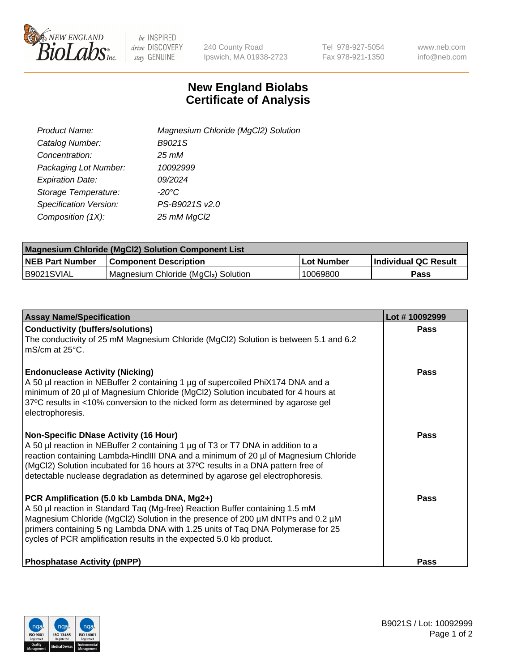

 $be$  INSPIRED drive DISCOVERY stay GENUINE

240 County Road Ipswich, MA 01938-2723 Tel 978-927-5054 Fax 978-921-1350 www.neb.com info@neb.com

## **New England Biolabs Certificate of Analysis**

| Product Name:           | Magnesium Chloride (MgCl2) Solution |
|-------------------------|-------------------------------------|
| Catalog Number:         | B9021S                              |
| Concentration:          | $25 \, \text{m}$ M                  |
| Packaging Lot Number:   | 10092999                            |
| <b>Expiration Date:</b> | 09/2024                             |
| Storage Temperature:    | $-20^{\circ}$ C                     |
| Specification Version:  | PS-B9021S v2.0                      |
| Composition (1X):       | 25 mM MgCl2                         |

| <b>Magnesium Chloride (MgCl2) Solution Component List</b> |                                     |            |                             |  |  |
|-----------------------------------------------------------|-------------------------------------|------------|-----------------------------|--|--|
| <b>NEB Part Number</b>                                    | <b>Component Description</b>        | Lot Number | <b>Individual QC Result</b> |  |  |
| B9021SVIAL                                                | Magnesium Chloride (MgCl2) Solution | 10069800   | <b>Pass</b>                 |  |  |

| <b>Assay Name/Specification</b>                                                                                                                                                                                                                                                                                                                                                             | Lot #10092999 |
|---------------------------------------------------------------------------------------------------------------------------------------------------------------------------------------------------------------------------------------------------------------------------------------------------------------------------------------------------------------------------------------------|---------------|
| <b>Conductivity (buffers/solutions)</b><br>The conductivity of 25 mM Magnesium Chloride (MgCl2) Solution is between 5.1 and 6.2<br>l mS/cm at 25°C.                                                                                                                                                                                                                                         | <b>Pass</b>   |
| <b>Endonuclease Activity (Nicking)</b><br>A 50 µl reaction in NEBuffer 2 containing 1 µg of supercoiled PhiX174 DNA and a<br>minimum of 20 µl of Magnesium Chloride (MgCl2) Solution incubated for 4 hours at<br>37°C results in <10% conversion to the nicked form as determined by agarose gel<br>electrophoresis.                                                                        | Pass          |
| <b>Non-Specific DNase Activity (16 Hour)</b><br>A 50 µl reaction in NEBuffer 2 containing 1 µg of T3 or T7 DNA in addition to a<br>reaction containing Lambda-HindIII DNA and a minimum of 20 µl of Magnesium Chloride<br>(MgCl2) Solution incubated for 16 hours at 37°C results in a DNA pattern free of<br>detectable nuclease degradation as determined by agarose gel electrophoresis. | Pass          |
| PCR Amplification (5.0 kb Lambda DNA, Mg2+)<br>A 50 µl reaction in Standard Taq (Mg-free) Reaction Buffer containing 1.5 mM<br>Magnesium Chloride (MgCl2) Solution in the presence of 200 µM dNTPs and 0.2 µM<br>primers containing 5 ng Lambda DNA with 1.25 units of Taq DNA Polymerase for 25<br>cycles of PCR amplification results in the expected 5.0 kb product.                     | Pass          |
| <b>Phosphatase Activity (pNPP)</b>                                                                                                                                                                                                                                                                                                                                                          | Pass          |